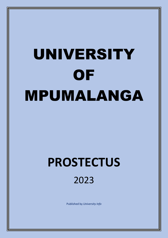# UNIVERSITY **OF** MPUMALANGA

# **PROSTECTUS** 2023

Published by *University Info*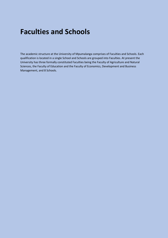### **Faculties and Schools**

The academic structure at the University of Mpumalanga comprises of Faculties and Schools. Each qualification is located in a single School and Schools are grouped into Faculties. At present the University has three formally constituted Faculties being the Faculty of Agriculture and Natural Sciences, the Faculty of Education and the Faculty of Economics, Development and Business Management, and 8 Schools.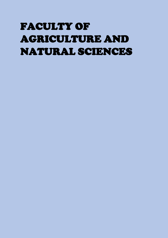# FACULTY OF AGRICULTURE AND NATURAL SCIENCES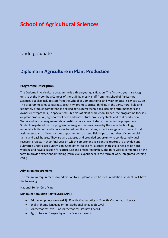### **School of Agricultural Sciences**

### Undergraduate

### **Diploma in Agriculture in Plant Production**

### **Programme Description**

The Diploma in Agriculture programme is a three-year qualification. The first two years are taught on-site at the Mbombela Campus of the UMP by mostly staff from the School of Agricultural Sciences but also include staff from the School of Computational and Mathematical Sciences (SCMS). The programme aims to facilitate creativity, promote critical thinking in the agricultural field and ultimately produce competent and skilled agricultural technicians including farm managers and owners (Entrepreneur) in specialised sub-fields of plant production. Hence, the programme focuses on plant production, agronomy of field and horticultural crops, vegetable and fruit production. Water and farm management also constitute core areas of study covered in the programme. Students registered on this programme are given lectures driven by the use of technology, undertake both field and laboratory based practical activities, submit a range of written and oral assignments, and offered various opportunities to attend field trips to a number of commercial farms and pack houses. They are also exposed and provided opportunity to conduct individual research projects in their final year on which comprehensive scientific reports are provided and submitted under close supervision. Candidates looking for a career in this field need to be hard working and have a passion for agriculture and entrepreneurship. The third year is completed on the farm to provide experiential training (farm level experience) in the form of work integrated learning (WIL).

### **Admission Requirements**

The minimum requirements for admission to a Diploma must be met. In addition, students will have the following:

National Senior Certificate

### **Minimum Admission Points Score (APS):**

- Admission points score (APS): 23 with Mathematics or 24 with Mathematic Literacy
- English (home language or first additional language): Level 4
- Mathematics: Level 3 or Mathematical Literacy: Level 4
- Agriculture or Geography or Life Science: Level 4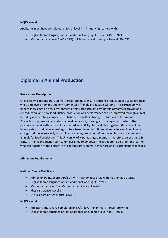### **NC(V) level 4**

Applicants must have completed an NC(V) level 4 in Primary Agriculture with:

- English (home language or first additional language): ≥ Level 4 (50 59%).
- Mathematics: ≥ Level 3 (40 49%) or Mathematical Literacy: ≥ Level 6 (70 79%).

### **Diploma in Animal Production**

#### **Programme Description**

Of necessity, contemporary animal agriculture must ensure efficient production of quality products while employing humane and environmentally friendly production systems. This curriculum will impart knowledge on how environment affects productivity, how physiology affects growth and reproduction, and how food quality, production and performance can be improved through animal breeding and carefully considered nutritional and other strategies. Students of this Animal Production diploma will also study animal behaviour, housing and management systems that promote optimal welfare for animals reared in captivity. To tie all this together, this curriculum interrogates sustainable animal agriculture issues in modern times when factors such as climate change and the increasingly discerning consumer, are major influences on how we rear and use animals for food production. This University of Mpumalanga diploma is, therefore, an exciting 21st century Animal Production curriculum designed to empower the graduate to be a life-long learner who can function at the epicentre of contemporary animal agriculture and its attendant challenges.

#### **Admission Requirements**

#### **National Senior Certificate**

- Admission Points Score (APS): 24 with mathematics or 27 with Mathematic Literacy
- English (home language or first additional language): Level 4
- Mathematics: Level 3 or Mathematical Literacy: Level 6
- Physical Science: Level 3
- Life Sciences or Agriculture: Level 4

#### **NC(V) level 4**

- Applicants must have completed an NC(V) level 4 in Primary Agriculture with:
- English (home language or first additional language): ≥ Level 4 (50 59%).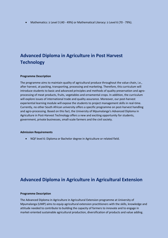Mathematics: ≥ Level 3 (40 - 49%) or Mathematical Literacy: ≥ Level 6 (70 - 79%).

### **Advanced Diploma in Agriculture in Post Harvest Technology**

#### **Programme Description**

The programme aims to maintain quality of agricultural produce throughout the value chain, i.e., after harvest, at packing, transporting, processing and marketing. Therefore, this curriculum will introduce students to basic and advanced principles and methods of quality preservation and agroprocessing of meat products, fruits, vegetables and ornamental crops. In addition, the curriculum will explore issues of international trade and quality assurance. Moreover, our post-harvest experiential learning module will expose the students to project management skills in real-time. Currently, no other South African university offers a specific programme on post-harvest handling and agro-processing. Based on this fact, the University of Mpumalanga's Advanced Diploma in Agriculture in Post-Harvest Technology offers a new and exciting opportunity for students, government, private businesses, small-scale farmers and the civil society.

#### **Admission Requirements**

NQF level 6: Diploma or Bachelor degree in Agriculture or related field.

### **Advanced Diploma in Agriculture in Agricultural Extension**

#### **Programme Description**

The Advanced Diploma in Agriculture in Agricultural Extension programme at University of Mpumalanga (UMP) aims to equip agricultural extension practitioners with the skills, knowledge and attitude needed to contribute to building the capacity of farmers to innovate and to engage in market-oriented sustainable agricultural production, diversification of products and value adding.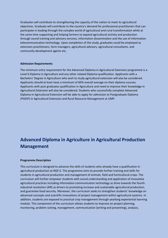Graduates will contribute to strengthening the capacity of the nation to meet its agricultural objectives. Graduate will contribute to the country's demand for professional practitioners that can participate in leading through the complex world of agricultural and rural transformation while at the same time supporting and helping farmers to expand agricultural activity and production through sound training and advisory services, information dissemination and the use of information telecommunication technology. Upon completion of the study, graduates could be employed as extension practitioners, farm managers, agricultural advisors, agricultural consultants, and community development agents etc.

### **Admission Requirements**

The minimum entry requirement for the Advanced Diploma in Agricultural Extension programme is a Level 6 Diploma in Agriculture and any other related Diploma qualification. Applicants with a Bachelors' Degree in Agriculture who wish to study agricultural extension will also be considered. Applicants should at least have a minimum of 60% overall average on their diploma courses. Applicants with post graduates qualification in Agriculture and need to improve their knowledge in Agricultural Extension will also be considered. Students who successfully complete Advanced Diploma in Agricultural Extension will be able to apply for admission to Postgraduate Diploma (PGDIP) in Agricultural Extension and Rural Resource Management at UMP.

### **Advanced Diploma in Agriculture in Agricultural Production Management**

### **Programme Description**

This curriculum is designed to advance the skills of students who already have a qualification in agricultural production at NQF 6. The programme aims to provide further training and skills for students in agricultural production and management of animals, field and horticultural crops. The curriculum will further empower students with sound understanding and application of innovative agricultural practices including information communication technology as drive towards the fourth industrial revolution (4IR) as drivers to promoting increase and sustainable agricultural production, and guarantee food security. Moreover, the curriculum seeks to strengthen students' knowledge on advanced concepts and scientific innovations of project management within agricultural systems. In addition, students are exposed to practical crop management through yearlong experiential learning module. This component of the curriculum allows students to improve on project planning, monitoring, problem solving, management, communication (writing and presenting), analysis,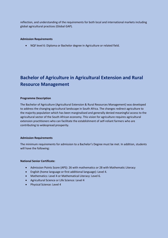reflection, and understanding of the requirements for both local and international markets including global agricultural practices (Global GAP).

#### **Admission Requirements**

NQF level 6: Diploma or Bachelor degree in Agriculture or related field.

### **Bachelor of Agriculture in Agricultural Extension and Rural Resource Management**

#### **Programme Description**

The Bachelor of Agriculture (Agricultural Extension & Rural Resources Management) was developed to address the changing agricultural landscape in South Africa. The changes redirect agriculture to the majority population which has been marginalised and generally denied meaningful access to the agricultural sector of the South African economy. This vision for agriculture requires agricultural extension practitioners who can facilitate the establishment of self-reliant farmers who are contributing to widespread prosperity.

#### **Admission Requirements**

The minimum requirements for admission to a Bachelor's Degree must be met. In addition, students will have the following:

#### **National Senior Certificate:**

- Admission Points Score (APS): 26 with mathematics or 28 with Mathematic Literacy
- English (home language or first additional language): Level 4.
- Mathematics: Level 4 or Mathematical Literacy: Level 6.
- Agricultural Science or Life Science: Level 4
- Physical Science: Level 4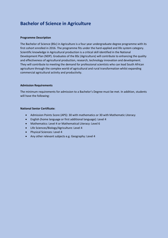### **Bachelor of Science in Agriculture**

### **Programme Description**

The Bachelor of Science (BSc) in Agriculture is a four year undergraduate degree programme with its first cohort enrolled in 2016. The programme fits under the hard-applied and life system category. Scientific knowledge in Agricultural production is a critical skill identified in the National Development Plan (NDP). Graduates of the BSc (Agriculture) will contribute to enhancing the quality and effectiveness of agricultural production, research, technology innovation and development. They will contribute to meeting the demand for professional scientists who can lead South African agriculture through the complex world of agricultural and rural transformation whilst expanding commercial agricultural activity and productivity.

### **Admission Requirements**

The minimum requirements for admission to a Bachelor's Degree must be met. In addition, students will have the following:

### **National Senior Certificate:**

- Admission Points Score (APS): 30 with mathematics or 30 with Mathematic Literacy
- English (home language or first additional language): Level 4
- Mathematics: Level 4 or Mathematical Literacy: Level 6
- Life Sciences/Biology/Agriculture: Level 4
- Physical Sciences: Level 4
- Any other relevant subjects e.g. Geography: Level 4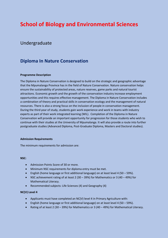### **School of Biology and Environmental Sciences**

### Undergraduate

### **Diploma In Nature Conservation**

### **Programme Description**

The Diploma in Nature Conservation is designed to build on the strategic and geographic advantage that the Mpumalanga Province has in the field of Nature Conservation. Nature conservation helps ensure the sustainability of protected areas, nature reserves, game parks and natural tourist attractions. Economic growth and the growth of the conservation industry increase employment opportunities and this requires effective management. The Diploma in Nature Conservation includes a combination of theory and practical skills in conservation ecology and the management of natural resources. There is also a strong focus on the inclusion of people in conservation management. During the third year of study, students gain work experience and work in teams with industry experts as part of their work integrated learning (WIL). Completion of the Diploma in Nature Conservation will provide an important opportunity for progression for those students who wish to continue with their studies at the University of Mpumalanga. It will also provide a route into further postgraduate studies (Advanced Diploma, Post-Graduate Diploma, Masters and Doctoral studies).

### **Admission Requirements**

The minimum requirements for admission are:

#### **NSC:**

- Admission Points Score of 30 or more.
- Minimum NSC requirements for diploma entry must be met.
- English (home language or first additional language) on at least level 4 (50 59%).
- NSC achievement rating of at least 2 (30 39%) for Mathematics or 3 (40 49%) for Mathematical Literacy.
- Recommended subjects: Life Sciences (4) and Geography (4)

### **NC(V) Level 4**

- Applicants must have completed an NC(V) level 4 in Primary Agriculture with:
- English (home language or first additional language) on at least level 4 (50 59%).
- Rating of at least 2 (30 39%) for Mathematics or 3 (40 49%) for Mathematical Literacy.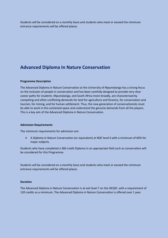Students will be considered on a monthly basis and students who meet or exceed the minimum entrance requirements will be offered places.

### **Advanced Diploma In Nature Conservation**

#### **Programme Description**

The Advanced Diploma in Nature Conservation at the University of Mpumalanga has a strong focus on the inclusion of people in conservation and has been carefully designed to provide very clear career paths for students. Mpumalanga, and South Africa more broadly, are characterised by competing and often conflicting demands for land for agriculture and forestry, for conservation and tourism, for mining, and for human settlement. Thus, the new generation of conservationists must be able to work in this contested space and understand the genuine demands from all the players. This is a key aim of the Advanced Diploma in Nature Conservation.

#### **Admission Requirements**

The minimum requirements for admission are:

 A Diploma in Nature Conservation (or equivalent) at NQF level 6 with a minimum of 60% for major subjects.

Students who have completed a 360 credit Diploma in an appropriate field such as conservation will be considered for this Programme.

Students will be considered on a monthly basis and students who meet or exceed the minimum entrance requirements will be offered places.

#### **Duration**

The Advanced Diploma in Nature Conservation is at exit level 7 on the HEQSF, with a requirement of 120 credits as a minimum. The Advanced Diploma in Nature Conservation is offered over 1 year.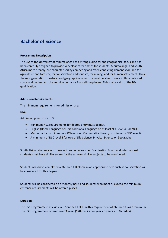### **Bachelor of Science**

### **Programme Description**

The BSc at the University of Mpumalanga has a strong biological and geographical focus and has been carefully designed to provide very clear career paths for students. Mpumalanga, and South Africa more broadly, are characterised by competing and often conflicting demands for land for agriculture and forestry, for conservation and tourism, for mining, and for human settlement. Thus, the new generation of natural and geographical scientists must be able to work in this contested space and understand the genuine demands from all the players. This is a key aim of the BSc qualification.

#### **Admission Requirements**

The minimum requirements for admission are:

#### **NSC**

Admission point score of 30.

- Minimum NSC requirements for degree entry must be met.
- English (Home Language or First Additional Language on at least NSC level 4 (5059%).
- Mathematics on minimum NSC level 4 or Mathematics literacy on minimum NSC level 6.
- A minimum of NSC level 4 for two of Life Science, Physical Science or Geography.

South African students who have written under another Examination Board and International students must have similar scores for the same or similar subjects to be considered.

Students who have completed a 360 credit Diploma in an appropriate field such as conservation will be considered for this degree.

Students will be considered on a monthly basis and students who meet or exceed the minimum entrance requirements will be offered places.

#### **Duration**

The BSc Programme is at exit level 7 on the HEQSF, with a requirement of 360 credits as a minimum. The BSc programme is offered over 3 years (120 credits per year x 3 years = 360 credits).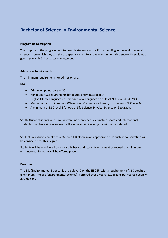### **Bachelor of Science in Environmental Science**

#### **Programme Description**

The purpose of the programme is to provide students with a firm grounding in the environmental sciences from which they can start to specialise in integrative environmental science with ecology, or geography with GIS or water management.

#### **Admission Requirements**

The minimum requirements for admission are:

### **NSC**

- Admission point score of 30.
- Minimum NSC requirements for degree entry must be met.
- English (Home Language or First Additional Language on at least NSC level 4 (5059%).
- Mathematics on minimum NSC level 4 or Mathematics literacy on minimum NSC level 6.
- A minimum of NSC level 4 for two of Life Science, Physical Science or Geography.

South African students who have written under another Examination Board and International students must have similar scores for the same or similar subjects will be considered.

Students who have completed a 360 credit Diploma in an appropriate field such as conservation will be considered for this degree.

Students will be considered on a monthly basis and students who meet or exceed the minimum entrance requirements will be offered places.

### **Duration**

The BSc (Environmental Science) is at exit level 7 on the HEQSF, with a requirement of 360 credits as a minimum. The BSc (Environmental Science) is offered over 3 years (120 credits per year x 3 years = 360 credits).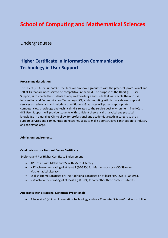### **School of Computing and Mathematical Sciences**

### Undergraduate

### **Higher Certificate in Information Communication Technology in User Support**

### **Programme description**

The HCert (ICT User Support) curriculum will empower graduates with the practical, professional and soft skills that are necessary to be competitive in the field. The purpose of the HCert (ICT User Support) is to enable the students to acquire knowledge and skills that will enable them to use Information and Communication Technology (ICT) and computing skills to provide user support services as technicians and helpdesk practitioners. Graduates will possess appropriate competencies, knowledge and technical skills related to the service desk environment. The HCert (ICT User Support) will provide students with sufficient theoretical, analytical and practical knowledge in emerging ICTs to allow for professional and academic growth in careers such as support services and communication networks, so as to make a constructive contribution to industry and society at large.

### **Admission requirements**

### **Candidates with a National Senior Certificate**

Diploma and / or Higher Certificate Endorsement

- APS of 20 with Maths and 22 with Maths Literacy
- NSC achievement rating of at least 2 (30-39%) for Mathematics or 4 (50-59%) for Mathematical Literacy.
- English (Home Language or First Additional Language on at least NSC level 4 (50-59%).
- NSC achievement rating of at least 2 (30-39%) for any other three content subjects

### **Applicants with a National Certificate (Vocational)**

A Level 4 NC (V) in an Information Technology and or a Computer Science/Studies discipline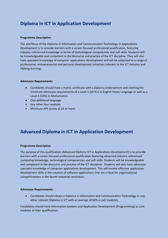### **Diploma in ICT in Application Development**

### **Programme Description**

The aim/focus of the Diploma in Information and Communication Technology in Applications Development is to provide learners with a career-focused professional qualification, featuring industry referenced knowledge in terms of technological competences and soft skills. Students will be knowledgeable and competent in the discourse and practice of the ICT discipline. They will also have specialist knowledge of computer applications development and will be subjected to a range of professional, entrepreneurial and personal development initiatives relevant to the ICT industry and lifelong learning.

### **Admission Requirements**

- Candidates should have a matric certificate with a Diploma endorsement and meeting the minimum admission requirements of a Level 4 (50 %+) in English Home Language as well as a Level 4 (50%) in Mathematics.
- One additional language
- Any other four modules
- Minimum APS scores of 24 or more.

### **Advanced Diploma in ICT in Application Development**

### **Programme Description**

The purpose of this qualification (Advanced Diploma ICT in Applications Development) is to provide learners with a career-focused professional qualification featuring advanced industry referenced computing knowledge, technological competencies and soft skills. Students will be knowledgeable and competent in the discourse and practice of the ICT discipline. Students will also have advanced specialist knowledge of computer applications development. This will involve effective application development skills in the creation of software applications that are critical for organisational competitiveness in the fourth industrial revolution.

### **Admission Requirements:**

 Candidates should obtain a Diploma in Information and Communication Technology or any other relevant Diploma in ICT with an average of 60% in exit modules;

Candidates should have Information Systems and Application Development (Programming) as core modules of their qualification.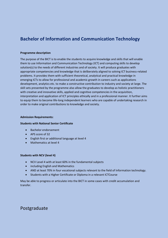### **Bachelor of Information and Communication Technology**

### **Programme description**

The purpose of the BICT is to enable the students to acquire knowledge and skills that will enable them to use Information and Communication Technology (ICT) and computing skills to develop solution(s) to the needs of different industries and of society. It will produce graduates with appropriate competencies and knowledge that is deliberately aligned to solving ICT business-related problems. It provides them with sufficient theoretical, analytical and practical knowledge in emerging ICTs to allow for professional and academic growth in careers such as applications development, analytics etc. to make a constructive contribution to industry and society at large. The skill sets presented by the programme also allow the graduates to develop as holistic practitioners with creative and innovative skills, applied and cognitive competencies in the acquisition, interpretation and application of ICT principles ethically and in a professional manner. It further aims to equip them to become life-long independent learners who are capable of undertaking research in order to make original contributions to knowledge and society.

#### **Admission Requirements:**

### **Students with National Senior Certificate**

- Bachelor endorsement
- APS score of 32
- English first or additional language at level 4
- Mathematics at level 4

### **Students with NCV (level 4)**

- NCV Level 4 with at least 60% in the fundamental subjects
- including English and Mathematics
- AND at least 70% in four vocational subjects relevant to the field of Information technology.
- Students with a Higher Certificate or Diploma in a relevant ICTCourse

May be able to progress or articulate into the BICT in some cases with credit accumulation and transfer.

### Postgraduate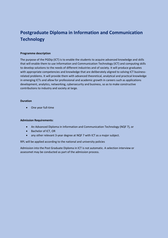### **Postgraduate Diploma in Information and Communication Technology**

### **Programme description**

The purpose of the PGDip (ICT) is to enable the students to acquire advanced knowledge and skills that will enable them to use Information and Communication Technology (ICT) and computing skills to develop solutions to the needs of different industries and of society. It will produce graduates with appropriate competencies and knowledge that are deliberately aligned to solving ICT businessrelated problems. It will provide them with advanced theoretical, analytical and practical knowledge in emerging ICTs and allow for professional and academic growth in careers such as applications development, analytics, networking, cybersecurity and business, so as to make constructive contributions to industry and society at large.

#### **Duration**

• One year full-time

#### **Admission Requirements:**

- An Advanced Diploma in Information and Communication Technology (NQF 7), or
- Bachelor of ICT, OR
- any other relevant 3-year degree at NQF 7 with ICT as a major subject.

RPL will be applied according to the national and university policies

Admission into the Post Graduate Diploma in ICT is not automatic. A selection interview or assessmet may be conducted as part of the admission process.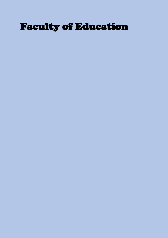## Faculty of Education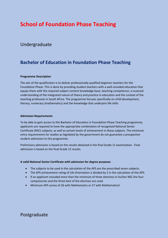### **School of Foundation Phase Teaching**

### Undergraduate

### **Bachelor of Education in Foundation Phase Teaching**

### **Programme Description**

The aim of the qualification is to deliver professionally qualified beginner teachers for the Foundation Phase. This is done by providing student teachers with a well-rounded education that equips them with the required subject content knowledge base, teaching competence, a nuanced understanding of the integrated nature of theory and practice in education and the context of the teaching profession in South Africa. The programme focuses specifically on child development, literacy, numeracy (mathematics) and the knowledge that underpins life skills.

### **Admission Requirements**

To be able to gain access to the Bachelor of Education in Foundation Phase Teaching programme, applicants are required to have the appropriate combination of recognised National Senior Certificate (NSC) subjects, as well as certain levels of achievement in these subjects. The minimum entry requirements for studies as legislated by the government do not guarantee a prospective student admission to this programme.

Preliminary admission is based on the results obtained in the final Grade 11 examination. Final admission is based on the final Grade 12 results.

### **A valid National Senior Certificate with admission for degree purposes**

- The subjects to be used in the calculation of the APS are the prescribed seven subjects.
- The APS achievement rating of Life Orientation is divided by 2 in the calculation of the APS.
- If an applicant included more than the minimum of three electives in his/her NSC the four compulsories and the three best of the electives are used.
- Minimum APS scores of 26 with Mathematics or 27 with Mathematical

### Postgraduate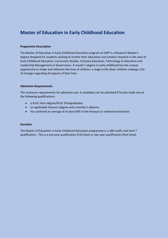### **Master of Education in Early Childhood Education**

#### **Programme Description**

The Master of Education in Early Childhood Education program at UMP is a Research Master's degree designed for students wishing to further their education and conduct research in the area of Early Childhood Education, Curriculum Studies, Inclusive Education, Technology in Education and Leadership Management or Governance. A master's degree in early childhood has the unique opportunity to shape and influence the lives of children; a stage in life when children undergo a lot of changes regarding all aspects of their lives.

#### **Admission Requirements**

The minimum requirements for admission are: A candidate can be admitted if he/she holds one of the following qualifications:

- a B.Ed. Hons degree/B.Ed. (Postgraduate)
- an applicable Honours degree and a teacher's diploma
- has achieved an average of at least 60% in the Honours or related examination.

#### **Duration**

The Master of Education in Early Childhood Education programme is a 180 credit, exit level 7 qualification. This is a one year qualification (Full-time) or two year qualification (Part-time).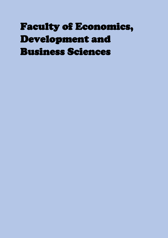## Faculty of Economics, Development and Business Sciences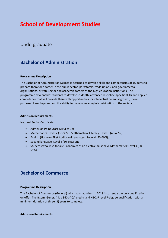### **School of Development Studies**

### Undergraduate

### **Bachelor of Administration**

### **Programme Description**

The Bachelor of Administration Degree is designed to develop skills and competencies of students to prepare them for a career in the public sector, parastatals, trade unions, non-governmental organisations, private sector and academic careers at the high education institutions. The programme also enables students to develop in-depth, advanced discipline-specific skills and applied competence that will provide them with opportunities for intellectual personal growth, more purposeful employment and the ability to make a meaningful contribution to the society.

#### **Admission Requirements**

National Senior Certificate;

- Admission Point Score (APS) of 32;
- Mathematics: Level 2 (30-39%). Mathematical Literacy: Level 3 (40-49%);
- English (Home or First Additional Language): Level 4 (50-59%);
- Second language: Level 4 (50-59%; and
- Students who wish to take Economics as an elective must have Mathematics: Level 4 (50-59%)

### **Bachelor of Commerce**

### **Programme Description**

The Bachelor of Commerce (General) which was launched in 2018 is currently the only qualification on offer. The BCom (General) is a 360 SAQA credits and HEQSF level 7-degree qualification with a minimum duration of three (3) years to complete.

#### **Admission Requirements**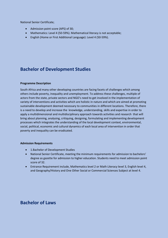National Senior Certificate;

- Admission point score (APS) of 30;
- Mathematics: Level 4 (50-59%). Mathematical literacy is not acceptable;
- English (Home or First Additional Language): Level 4 (50-59%).

### **Bachelor of Development Studies**

### **Programme Description**

South Africa and many other developing countries are facing facets of challenges which among others include poverty, inequality and unemployment. To address these challenges, multiple of actors from the state, private sectors and NGO's need to get involved in the implementation of variety of interventions and activities which are holistic in nature and which are aimed at promoting sustainable development deemed necessary to communities in different locations. Therefore, there is a need to develop and increase the knowledge, understanding, skills and expertise in order to apply a multidimensional and multidisciplinary approach towards activities and research that will bring about planning, analysing, critiquing, designing, formulating and implementing development processes which integrates the understanding of the local development context, environmental, social, political, economic and cultural dynamics of each local area of intervention in order that poverty and inequality can be eradicated.

### **Admission Requirements**

- 1.Bachelor of Development Studies
- National Senior Certificate, meeting the minimum requirements for admission to bachelors' degree as gazette for admission to higher education. Students need to meet admission point score of 32.
- Entrance Requirement include, Mathematics level 2 or Math Literacy level 3, English level 4, and Geography/History and One Other Social or Commercial Sciences Subject at level 4.

### **Bachelor of Laws**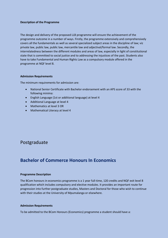#### **Description of the Programme**

The design and delivery of the proposed LLB programme will ensure the achievement of the programme outcome in a number of ways. Firstly, the programme extensively and comprehensively covers all the fundamentals as well as several specialized subject areas in the discipline of law; viz private law, public law, public law, mercantile law and adjectival/formal law. Secondly, the interrelatedness between the different modules and areas of law, especially in light of constitutional state that is committed to social justice and to addressing the injustices of the past. Students also have to take Fundamental and Human Rights Law as a compulsory module offered in the programme at NQF level 8.

#### **Admission Requirements**

The minimum requirements for admission are:

- National Senior Certificate with Bachelor endorsement with an APS score of 33 with the following minima:
- English Language (1st or additional language) at level 4
- Additional Language at level 4
- Mathematics at level 3 OR
- Mathematical Literacy at level 4

### Postgraduate

### **Bachelor of Commerce Honours In Economics**

### **Programme Description**

The BCom honours in economics programme is a 1 year full-time, 120 credits and NQF exit level 8 qualification which includes compulsory and elective modules. It provides an important route for progression into further postgraduate studies, Masters and Doctoral for those who wish to continue with their studies at the University of Mpumalanga or elsewhere.

#### **Admission Requirements**

To be admitted to the BCom Honours (Economics) programme a student should have a: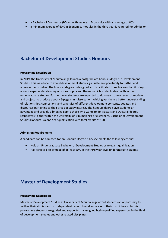- a Bachelor of Commerce (BCom) with majors in Economics with an average of 60%.
- a minimum average of 60% in Economics modules in the third year is required for admission.

### **Bachelor of Development Studies Honours**

#### **Programme Description**

In 2019, the University of Mpumalanga launch a postgraduate honours degree in Development Studies. This was done to afford development studies graduate an opportunity to further and advance their studies. The honours degree is designed and is facilitated in such a way that it brings about deeper understanding of issues, topics and themes which students dealt with in their undergraduate studies. Furthermore, students are expected to do a year course research module and project (to produce about 45-page mini-dissertation) which gives them a better understanding of relationships, connections and synergies of different development concepts, debates and discourses pertaining to their areas of study interest. The honours degree give students an advantage and provide a bridging gap to those who wants to do Masters and Doctoral degree respectively, either within the University of Mpumalanga or elsewhere. Bachelor of Development Studies Honours is a one Year qualification with total credits of 120.

#### **Admission Requirements**

A candidate can be admitted for an Honours Degree if he/she meets the following criteria:

- Hold an Undergraduate Bachelor of Development Studies or relevant qualification.
- Has achieved an average of at least 60% in the third year level undergraduate studies.

### **Master of Development Studies**

#### **Programme Description**

Master of Development Studies at University of Mpumalanga afford students an opportunity to further their studies and do independent research work on areas of their own interest. In this programme students are guided and supported by assigned highly qualified supervisors in the field of development studies and other related disciplines.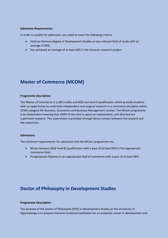#### **Admission Requirements**

In order to qualify for admission, you need to meet the following criteria:

- Hold an Honours degree in Development Studies or any relevant field of study with an average of 60%
- Has achieved an average of at least 60% in the Honours research project

### **Master of Commerce (MCOM)**

#### **Programme description**

The Master of Commerce is a 180 credits and NQF exit level 9 qualification which provide students with an opportunity to undertake independent and original research in a commerce discipline within CESM category 04: Business, Economics and Business Management studies. The MCom programme is by dissertation meaning that 100% of the time is spent on independent, self-directed but supervised research. This supervision is provided through direct contact between the student and the supervisor.

#### **Admissions**

The minimum requirements for admission into the MCom programme are:

- BCom Honours (NQF level 8) qualification with a pass of at least 60% in the appropriate commerce field.
- Postgraduate Diploma in an appropriate field of commerce with a pass of at least 60%.

### **Doctor of Philosophy in Development Studies**

#### **Programme Description**

The purpose of the Doctor of Philosophy (PhD) in Development Studies at the University of Mpumalanga is to prepare Doctoral students/candidates for an academic career in development and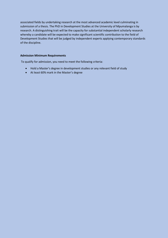associated fields by undertaking research at the most advanced academic level culminating in submission of a thesis. The PhD in Development Studies at the University of Mpumalanga is by research. A distinguishing trait will be the capacity for substantial independent scholarly research whereby a candidate will be expected to make significant scientific contribution to the field of Development Studies that will be judged by independent experts applying contemporary standards of the discipline.

### **Admission Minimum Requirements**

To qualify for admission, you need to meet the following criteria:

- Hold a Master's degree in development studies or any relevant field of study
- At least 60% mark in the Master's degree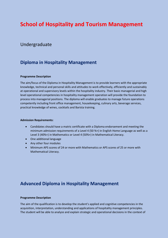### **School of Hospitality and Tourism Management**

### Undergraduate

### **Diploma in Hospitality Management**

### **Programme Description**

The aim/focus of the Diploma in Hospitality Management is to provide learners with the appropriate knowledge, technical and personal skills and attitudes to work effectively, efficiently and sustainably at operational and supervisory levels within the hospitality industry. Their basic managerial and high level operational competencies in hospitality management operation will provide the foundation to process into managerial positions. The diploma will enable graduates to manage future operations competently including front office management, housekeeping, culinary arts, beverage services, practical knowledge of wines, cocktails and Barista training.

#### **Admission Requirements:**

- Candidates should have a matric certificate with a Diploma endorsement and meeting the minimum admission requirements of a Level 4 (50 %+) in English Home Language as well as a Level 3 (40%+) in Mathematics or Level 4 (50%+) in Mathematical Literacy.
- One additional language
- Any other four modules
- Minimum APS scores of 24 or more with Mathematics or APS scores of 25 or more with Mathematical Literacy.

### **Advanced Diploma in Hospitality Management**

#### **Programme Description**

The aim of the qualification is to develop the student's applied and cognitive competencies in the acquisition, interpretation, understanding and applications of hospitality management principles. The student will be able to analyze and explain strategic and operational decisions in the context of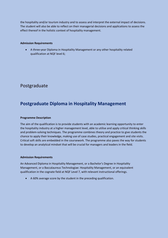the hospitality and/or tourism industry and to assess and interpret the external impact of decisions. The student will also be able to reflect on their managerial decisions and applications to assess the effect thereof in the holistic context of hospitality management.

### **Admission Requirements**

 A three-year Diploma in Hospitality Management or any other hospitality related qualification at NQF level 6;

### Postgraduate

### **Postgraduate Diploma in Hospitality Management**

### **Programme Description**

The aim of the qualification is to provide students with an academic learning opportunity to enter the hospitality industry at a higher management level, able to utilise and apply critical thinking skills and problem-solving techniques. The programme combines theory and practice to give students the chance to apply their knowledge, making use of case studies, practical engagement and site visits. Critical soft skills are embedded in the coursework. The programme also paves the way for students to develop an analytical mindset that will be crucial for managers and leaders in the field.

### **Admission Requirements**

An Advanced Diploma in Hospitality Management, or a Bachelor's Degree in Hospitality Management, or a Baccalaureus Technologiae: Hospitality Management, or an equivalent qualification in the cognate field at NQF Level 7, with relevant instructional offerings.

A 60% average score by the student in the preceding qualification.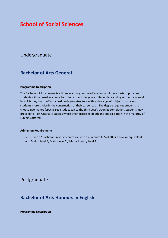### **School of Social Sciences**

### Undergraduate

### **Bachelor of Arts General**

#### **Programme Description**

The Bachelor of Arts degree is a three year programme offered on a full-time basis. It provides students with a broad academic basis for students to gain a fuller understanding of the social world in which they live. It offers a flexible degree structure with wide range of subjects that allow students more choice in the construction of their career path. The degree requires students to choose two majors (specialised study taken to the third year). Upon its completion, students may proceed to Post-Graduate studies which offer increased depth and specialisation in the majority of subjects offered.

#### **Admission Requirements**

- Grade 12 Bachelor university entrance with a minimum APS of 28 or above or equivalent.
- English level 4; Maths level 2 / Maths literacy level 3

### Postgraduate

### **Bachelor of Arts Honours in English**

**Programme Description**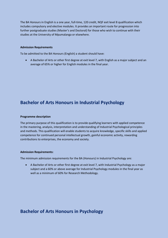The BA Honours in English is a one year, full-time, 120 credit, NQF exit level 8 qualification which includes compulsory and elective modules. It provides an important route for progression into further postgraduate studies (Master's and Doctoral) for those who wish to continue with their studies at the University of Mpumalanga or elsewhere.

#### **Admission Requirements**

To be admitted to the BA Honours (English) a student should have:

 A Bachelor of Arts or other first degree at exit level 7, with English as a major subject and an average of 65% or higher for English modules in the final year.

### **Bachelor of Arts Honours in Industrial Psychology**

#### **Programme description**

The primary purpose of this qualification is to provide qualifying learners with applied competence in the mastering, analysis, interpretation and understanding of Industrial Psychological principles and methods. This qualification will enable students to acquire knowledge, specific skills and applied competence for continued personal intellectual growth, gainful economic activity, rewarding contributions to enterprises, the economy and society.

#### **Admission Requirements:**

The minimum admission requirements for the BA (Honours) in Industrial Psychology are:

 A Bachelor of Arts or other first degree at exit level 7, with Industrial Psychology as a major subject and a 60% or above average for Industrial Psychology modules in the final year as well as a minimum of 60% for Research Methodology.

### **Bachelor of Arts Honours in Psychology**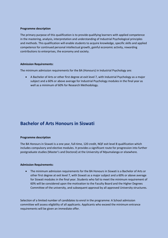#### **Programme description**

The primary purpose of this qualification is to provide qualifying learners with applied competence in the mastering, analysis, interpretation and understanding of Industrial Psychological principles and methods. This qualification will enable students to acquire knowledge, specific skills and applied competence for continued personal intellectual growth, gainful economic activity, rewarding contributions to enterprises, the economy and society.

#### **Admission Requirements:**

The minimum admission requirements for the BA (Honours) in Industrial Psychology are:

 A Bachelor of Arts or other first degree at exit level 7, with Industrial Psychology as a major subject and a 60% or above average for Industrial Psychology modules in the final year as well as a minimum of 60% for Research Methodology.

### **Bachelor of Arts Honours in Siswati**

#### **Programme description**

The BA Honours in Siswati is a one year, full-time, 120 credit, NQF exit level 8 qualification which includes compulsory and elective modules. It provides a significant route for progression into further postgraduate studies (Master's and Doctoral) at the University of Mpumalanga or elsewhere.

#### **Admission Requirements:**

 The minimum admission requirements for the BA Honours in Siswati is a Bachelor of Arts or other first degree at exit level 7, with Siswati as a major subject and a 60% or above average for Siswati modules in the final year. Students who fail to meet the minimum requirement of 60% will be considered upon the motivation to the Faculty Board and the Higher Degrees Committee of the university, and subsequent approval by all approved University structures.

Selection of a limited number of candidates to enrol in the programme: A School admission committee will assess eligibility of all applicants. Applicants who exceed the minimum entrance requirements will be given an immediate offer.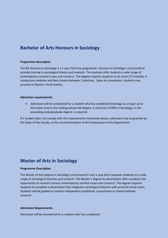### **Bachelor of Arts Honours in Sociology**

#### **Programme description**

The BA Honours in Sociology is a 1-year full-time programme. Honours in Sociology is structured to provide training in sociological theory and research. The modules offer students a wide range of contemporary societal issues and concerns. The degree requires students to do seven (7) modules: 6 compulsory modules and then choose between 2 electives. Upon its completion, students may proceed to Master's level studies.

#### **Admission requirements:**

 Admission will be considered for a student who has completed Sociology as a major up to third-year level in the undergraduate BA Degree. A minimum of 60% in Sociology, in the preceding undergraduate degree, is required.

If a student does not comply with the requirements mentioned above, admission may be granted by the Dean of the Faculty, at the recommendation of the Chairperson of the Department.

### **Master of Arts in Sociology**

#### **Programme Description**

The Master of Arts degree in Sociology is structured in such a way that it exposes students to a wide range of sociological theories and research. The Master`s degree by dissertation offers students the opportunity to research various contemporary societal issues and concerns. The degree requires students to complete a dissertation that integrates sociological theories with practical social issues. Students will be guided to conduct independent qualitative, quantitative or mixed methods research.

#### **Admission Requirements**

Admission will be considered for a student who has completed: